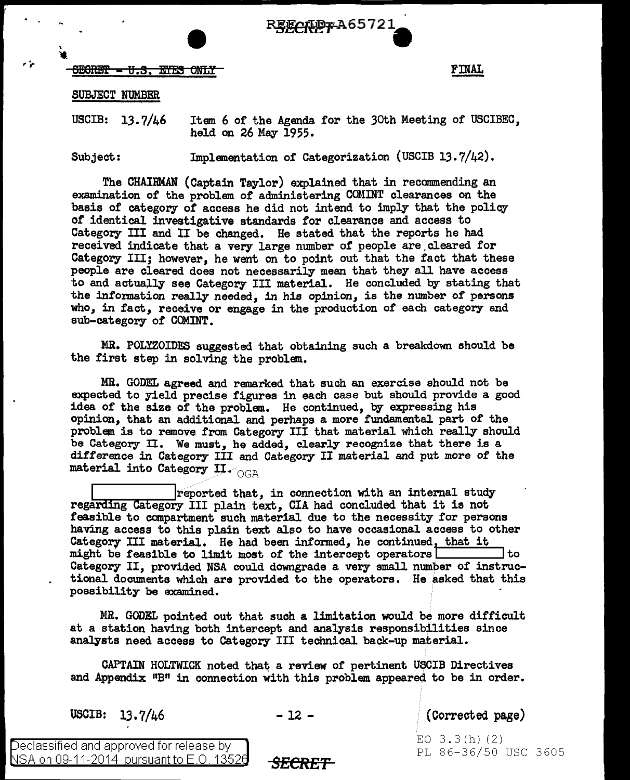

 $\begin{array}{ccc} \star \end{array}$  ,  $\begin{array}{ccc} \text{H} & \text{H} & \text{H} \end{array}$  and  $\begin{array}{ccc} \text{H} & \text{H} & \text{H} \end{array}$  and  $\begin{array}{ccc} \text{H} & \text{H} & \text{H} \end{array}$ 

## SUBJECT NUMBER

'<br>Y

USCIB: 13. 7/46 Item 6 of the Agenda for the 30th Meeting of USCIBEC, held on  $26$  May  $1955$ .

Subject: Implementation of Categorization (USCIB 13.7/42).

The CHAIRMAN (Captain Taylor) explained that in recommending an examination of the problem of administering COMINT clearances on the basis of category of access he did not intend to imply that the policy *of* identical investigative standards for clearance and access to Category III and II be changed. He stated that the reports he had received indicate that a very large number of people are cleared for Category III; however, he went on to point out that the fact that these people are cleared does not necessarily mean that they all have access to and actually see Category III material. He concluded by stating that the information really needed, in his opinion, is the number of persons who, in fact, receive or engage in the production of each category and sub-category of COMINT.

MR. POLYZOIDES suggested that obtaining such a breakdown should be the first step in solving the problem.

MR. GODEL agreed and remarked that such an exercise should not be expected to yield precise figures in each case but should provide a good idea of the size of the problem. He continued, by expressing his opinion, that an additional and perhaps a more fundamental part of the problem is to remove from Category III that material which really should be Category II. We must, he added, clearly recognize that there is a difference in Category III and Category II material and put more of the material into Category II.  $_{\text{OGA}}$ 

I reported that, in connection with an internal study regarding Category III plain text, CIA had concluded that it is not teasible to compartment such material due to the necessity for persons having access to this plain text also to have occasional access to other Category III material. He had been informed, he continued, that it might be feasible to limit most of the intercept operators Category II, provided NSA could downgrade a very small numher of instructional documents which are provided to the operators. He asked that this possibility be examined.

MR. GODEL pointed out that such a limitation would be more difficult at a station having both intercept and analysis responsibilities since analysts need access to Category III technical back-up material.

CAPTAIN HOLTWICK noted tha~ a review of pertinent USCIB Directives and Appendix  $"B"$  in connection with this problem appeared to be in order.

USCIB:  $13.7/46$  - 12 -

(Corrected page)

Declassified and approved for release by NSA on 09-11-2014 pursuant to E.O. 13526

 $EO$  3.3(h)(2) PL 86-36/50 USC 3605